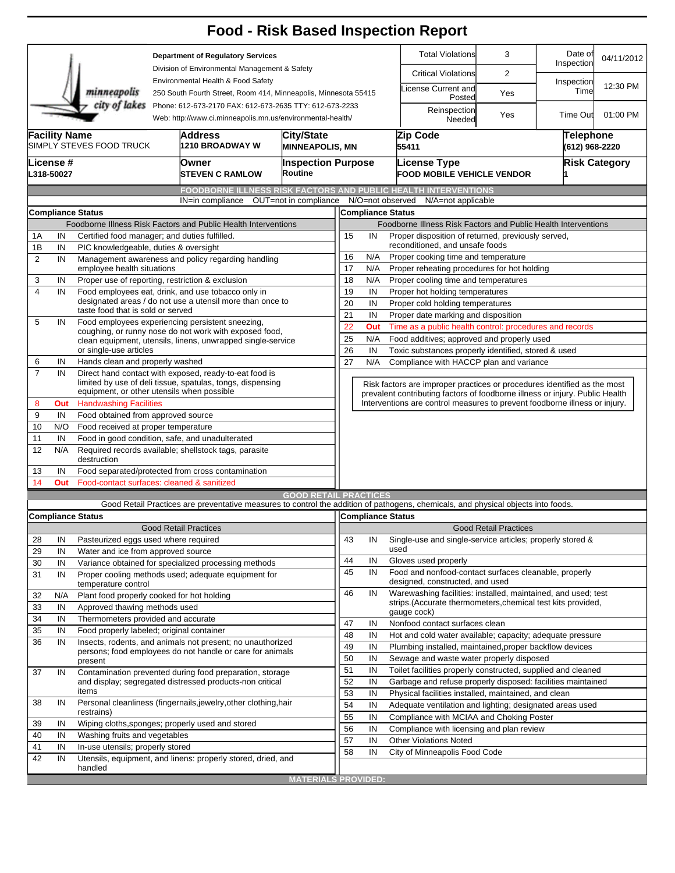|                |                                                                                                                                        |                                                                                                                                                                    |                                                                                                                                                          |                                                                                                                                   |                                        |                                                                                                                 |                                                                 |                                                                                                                                             | <b>Food - Risk Based Inspection Report</b>                                               |                              |                       |            |  |  |
|----------------|----------------------------------------------------------------------------------------------------------------------------------------|--------------------------------------------------------------------------------------------------------------------------------------------------------------------|----------------------------------------------------------------------------------------------------------------------------------------------------------|-----------------------------------------------------------------------------------------------------------------------------------|----------------------------------------|-----------------------------------------------------------------------------------------------------------------|-----------------------------------------------------------------|---------------------------------------------------------------------------------------------------------------------------------------------|------------------------------------------------------------------------------------------|------------------------------|-----------------------|------------|--|--|
|                | <b>Department of Regulatory Services</b>                                                                                               |                                                                                                                                                                    |                                                                                                                                                          |                                                                                                                                   |                                        |                                                                                                                 |                                                                 |                                                                                                                                             | <b>Total Violations</b>                                                                  | 3                            | Date of<br>Inspection | 04/11/2012 |  |  |
|                |                                                                                                                                        |                                                                                                                                                                    | Division of Environmental Management & Safety                                                                                                            |                                                                                                                                   |                                        |                                                                                                                 |                                                                 |                                                                                                                                             | <b>Critical Violations</b>                                                               | $\overline{2}$               |                       |            |  |  |
|                |                                                                                                                                        | minneapolis                                                                                                                                                        |                                                                                                                                                          | Environmental Health & Food Safety<br>250 South Fourth Street, Room 414, Minneapolis, Minnesota 55415                             |                                        |                                                                                                                 |                                                                 | icense Current and<br>Posted                                                                                                                | Yes                                                                                      | Inspection<br>Time           | 12:30 PM              |            |  |  |
|                | city of lakes<br>Phone: 612-673-2170 FAX: 612-673-2635 TTY: 612-673-2233<br>Web: http://www.ci.minneapolis.mn.us/environmental-health/ |                                                                                                                                                                    |                                                                                                                                                          |                                                                                                                                   |                                        |                                                                                                                 |                                                                 |                                                                                                                                             | Reinspection<br>Needed                                                                   | Yes                          | <b>Time Out</b>       | 01:00 PM   |  |  |
|                | <b>Facility Name</b><br>Address<br><b>City/State</b><br>SIMPLY STEVES FOOD TRUCK<br>1210 BROADWAY W<br><b>MINNEAPOLIS, MN</b>          |                                                                                                                                                                    |                                                                                                                                                          |                                                                                                                                   |                                        |                                                                                                                 |                                                                 |                                                                                                                                             | Zip Code<br>Telephone<br>(612) 968-2220<br>55411                                         |                              |                       |            |  |  |
|                | <b>License</b> #<br>L318-50027                                                                                                         |                                                                                                                                                                    |                                                                                                                                                          | Owner<br><b>STEVEN C RAMLOW</b>                                                                                                   | Routine                                | <b>Inspection Purpose</b>                                                                                       |                                                                 | <b>Risk Category</b><br>License Type<br><b>FOOD MOBILE VEHICLE VENDOR</b>                                                                   |                                                                                          |                              |                       |            |  |  |
|                |                                                                                                                                        |                                                                                                                                                                    |                                                                                                                                                          | FOODBORNE ILLNESS RISK FACTORS AND PUBLIC HEALTH INTERVENTIONS                                                                    |                                        |                                                                                                                 |                                                                 |                                                                                                                                             |                                                                                          |                              |                       |            |  |  |
|                |                                                                                                                                        |                                                                                                                                                                    |                                                                                                                                                          | IN=in compliance                                                                                                                  | OUT=not in compliance N/O=not observed |                                                                                                                 |                                                                 |                                                                                                                                             | N/A=not applicable                                                                       |                              |                       |            |  |  |
|                |                                                                                                                                        | <b>Compliance Status</b>                                                                                                                                           |                                                                                                                                                          |                                                                                                                                   |                                        |                                                                                                                 | <b>Compliance Status</b>                                        |                                                                                                                                             |                                                                                          |                              |                       |            |  |  |
|                |                                                                                                                                        |                                                                                                                                                                    |                                                                                                                                                          | Foodborne Illness Risk Factors and Public Health Interventions                                                                    |                                        |                                                                                                                 |                                                                 |                                                                                                                                             | Foodborne Illness Risk Factors and Public Health Interventions                           |                              |                       |            |  |  |
| 1Α             | IN                                                                                                                                     | Certified food manager; and duties fulfilled.                                                                                                                      |                                                                                                                                                          |                                                                                                                                   |                                        | 15                                                                                                              | IN                                                              |                                                                                                                                             | Proper disposition of returned, previously served,                                       |                              |                       |            |  |  |
| 1B             | IN                                                                                                                                     | PIC knowledgeable, duties & oversight                                                                                                                              |                                                                                                                                                          |                                                                                                                                   |                                        | 16                                                                                                              | N/A                                                             |                                                                                                                                             | reconditioned, and unsafe foods                                                          |                              |                       |            |  |  |
| 2              | IN                                                                                                                                     | employee health situations                                                                                                                                         |                                                                                                                                                          | Management awareness and policy regarding handling                                                                                |                                        | Proper cooking time and temperature<br>17<br>N/A<br>Proper reheating procedures for hot holding                 |                                                                 |                                                                                                                                             |                                                                                          |                              |                       |            |  |  |
| 3              | IN                                                                                                                                     | Proper use of reporting, restriction & exclusion                                                                                                                   |                                                                                                                                                          |                                                                                                                                   |                                        | 18                                                                                                              | N/A                                                             |                                                                                                                                             | Proper cooling time and temperatures                                                     |                              |                       |            |  |  |
| $\overline{4}$ | IN                                                                                                                                     |                                                                                                                                                                    |                                                                                                                                                          | Food employees eat, drink, and use tobacco only in                                                                                |                                        | 19                                                                                                              | IN<br>Proper hot holding temperatures                           |                                                                                                                                             |                                                                                          |                              |                       |            |  |  |
|                |                                                                                                                                        | designated areas / do not use a utensil more than once to                                                                                                          | 20                                                                                                                                                       | IN<br>Proper cold holding temperatures                                                                                            |                                        |                                                                                                                 |                                                                 |                                                                                                                                             |                                                                                          |                              |                       |            |  |  |
|                |                                                                                                                                        | taste food that is sold or served                                                                                                                                  |                                                                                                                                                          |                                                                                                                                   |                                        | 21<br>IN<br>Proper date marking and disposition                                                                 |                                                                 |                                                                                                                                             |                                                                                          |                              |                       |            |  |  |
| 5              | IN                                                                                                                                     | Food employees experiencing persistent sneezing,<br>coughing, or runny nose do not work with exposed food,                                                         | 22<br>Time as a public health control: procedures and records<br>Out                                                                                     |                                                                                                                                   |                                        |                                                                                                                 |                                                                 |                                                                                                                                             |                                                                                          |                              |                       |            |  |  |
|                |                                                                                                                                        | clean equipment, utensils, linens, unwrapped single-service                                                                                                        | 25                                                                                                                                                       | N/A<br>Food additives; approved and properly used                                                                                 |                                        |                                                                                                                 |                                                                 |                                                                                                                                             |                                                                                          |                              |                       |            |  |  |
|                |                                                                                                                                        | or single-use articles                                                                                                                                             |                                                                                                                                                          |                                                                                                                                   |                                        |                                                                                                                 | 26<br>IN<br>Toxic substances properly identified, stored & used |                                                                                                                                             |                                                                                          |                              |                       |            |  |  |
| 6              | IN                                                                                                                                     | Hands clean and properly washed                                                                                                                                    |                                                                                                                                                          |                                                                                                                                   |                                        | 27<br>N/A<br>Compliance with HACCP plan and variance                                                            |                                                                 |                                                                                                                                             |                                                                                          |                              |                       |            |  |  |
| $\overline{7}$ | IN                                                                                                                                     | Direct hand contact with exposed, ready-to-eat food is<br>limited by use of deli tissue, spatulas, tongs, dispensing<br>equipment, or other utensils when possible | Risk factors are improper practices or procedures identified as the most<br>prevalent contributing factors of foodborne illness or injury. Public Health |                                                                                                                                   |                                        |                                                                                                                 |                                                                 |                                                                                                                                             |                                                                                          |                              |                       |            |  |  |
| 8              | Out                                                                                                                                    | <b>Handwashing Facilities</b>                                                                                                                                      |                                                                                                                                                          |                                                                                                                                   |                                        | Interventions are control measures to prevent foodborne illness or injury.                                      |                                                                 |                                                                                                                                             |                                                                                          |                              |                       |            |  |  |
| 9              | IN                                                                                                                                     |                                                                                                                                                                    | Food obtained from approved source                                                                                                                       |                                                                                                                                   |                                        |                                                                                                                 |                                                                 |                                                                                                                                             |                                                                                          |                              |                       |            |  |  |
| 10             | N/O                                                                                                                                    | Food received at proper temperature                                                                                                                                |                                                                                                                                                          |                                                                                                                                   |                                        |                                                                                                                 |                                                                 |                                                                                                                                             |                                                                                          |                              |                       |            |  |  |
| 11             | IN                                                                                                                                     | Food in good condition, safe, and unadulterated                                                                                                                    |                                                                                                                                                          |                                                                                                                                   |                                        |                                                                                                                 |                                                                 |                                                                                                                                             |                                                                                          |                              |                       |            |  |  |
| 12             | N/A                                                                                                                                    | Required records available; shellstock tags, parasite<br>destruction                                                                                               |                                                                                                                                                          |                                                                                                                                   |                                        |                                                                                                                 |                                                                 |                                                                                                                                             |                                                                                          |                              |                       |            |  |  |
| 13             | IN                                                                                                                                     |                                                                                                                                                                    |                                                                                                                                                          | Food separated/protected from cross contamination                                                                                 |                                        |                                                                                                                 |                                                                 |                                                                                                                                             |                                                                                          |                              |                       |            |  |  |
| 14             | Out                                                                                                                                    | Food-contact surfaces: cleaned & sanitized                                                                                                                         |                                                                                                                                                          |                                                                                                                                   |                                        |                                                                                                                 |                                                                 |                                                                                                                                             |                                                                                          |                              |                       |            |  |  |
|                |                                                                                                                                        |                                                                                                                                                                    |                                                                                                                                                          |                                                                                                                                   | <b>GOOD RETAIL PRACTICES</b>           |                                                                                                                 |                                                                 |                                                                                                                                             |                                                                                          |                              |                       |            |  |  |
|                |                                                                                                                                        |                                                                                                                                                                    |                                                                                                                                                          | Good Retail Practices are preventative measures to control the addition of pathogens, chemicals, and physical objects into foods. |                                        |                                                                                                                 |                                                                 |                                                                                                                                             |                                                                                          |                              |                       |            |  |  |
|                |                                                                                                                                        | <b>Compliance Status</b>                                                                                                                                           |                                                                                                                                                          |                                                                                                                                   |                                        |                                                                                                                 |                                                                 |                                                                                                                                             | Compliance Status                                                                        |                              |                       |            |  |  |
|                |                                                                                                                                        |                                                                                                                                                                    |                                                                                                                                                          | <b>Good Retail Practices</b>                                                                                                      |                                        |                                                                                                                 |                                                                 |                                                                                                                                             |                                                                                          | <b>Good Retail Practices</b> |                       |            |  |  |
| 28             | IN                                                                                                                                     | Pasteurized eggs used where required                                                                                                                               |                                                                                                                                                          |                                                                                                                                   |                                        | 43                                                                                                              | IN                                                              |                                                                                                                                             | Single-use and single-service articles; properly stored &<br>used                        |                              |                       |            |  |  |
| 29             | IN                                                                                                                                     | Water and ice from approved source                                                                                                                                 |                                                                                                                                                          |                                                                                                                                   |                                        | 44                                                                                                              | IN                                                              |                                                                                                                                             | Gloves used properly                                                                     |                              |                       |            |  |  |
| 30<br>31       | IN<br>IN                                                                                                                               | temperature control                                                                                                                                                |                                                                                                                                                          | Variance obtained for specialized processing methods<br>Proper cooling methods used; adequate equipment for                       |                                        | 45                                                                                                              | IN                                                              |                                                                                                                                             | Food and nonfood-contact surfaces cleanable, properly<br>designed, constructed, and used |                              |                       |            |  |  |
| 32             | N/A                                                                                                                                    | Plant food properly cooked for hot holding                                                                                                                         |                                                                                                                                                          |                                                                                                                                   |                                        | 46                                                                                                              | IN                                                              |                                                                                                                                             | Warewashing facilities: installed, maintained, and used; test                            |                              |                       |            |  |  |
| 33             | IN                                                                                                                                     | Approved thawing methods used                                                                                                                                      |                                                                                                                                                          |                                                                                                                                   |                                        |                                                                                                                 |                                                                 |                                                                                                                                             | strips.(Accurate thermometers, chemical test kits provided,                              |                              |                       |            |  |  |
| 34             | IN                                                                                                                                     | Thermometers provided and accurate                                                                                                                                 |                                                                                                                                                          |                                                                                                                                   |                                        |                                                                                                                 |                                                                 |                                                                                                                                             | gauge cock)                                                                              |                              |                       |            |  |  |
| 35             | IN                                                                                                                                     | Food properly labeled; original container                                                                                                                          |                                                                                                                                                          |                                                                                                                                   |                                        | 47                                                                                                              | IN                                                              |                                                                                                                                             | Nonfood contact surfaces clean                                                           |                              |                       |            |  |  |
| 36             | IN                                                                                                                                     |                                                                                                                                                                    |                                                                                                                                                          | Insects, rodents, and animals not present; no unauthorized                                                                        |                                        | 48                                                                                                              | IN                                                              |                                                                                                                                             | Hot and cold water available; capacity; adequate pressure                                |                              |                       |            |  |  |
|                |                                                                                                                                        |                                                                                                                                                                    |                                                                                                                                                          | persons; food employees do not handle or care for animals                                                                         |                                        | 49<br>IN<br>Plumbing installed, maintained, proper backflow devices<br>Sewage and waste water properly disposed |                                                                 |                                                                                                                                             |                                                                                          |                              |                       |            |  |  |
|                |                                                                                                                                        | present                                                                                                                                                            | 50<br>51                                                                                                                                                 | IN<br>IN                                                                                                                          |                                        | Toilet facilities properly constructed, supplied and cleaned                                                    |                                                                 |                                                                                                                                             |                                                                                          |                              |                       |            |  |  |
| 37             | IN                                                                                                                                     |                                                                                                                                                                    |                                                                                                                                                          | Contamination prevented during food preparation, storage                                                                          |                                        |                                                                                                                 |                                                                 |                                                                                                                                             |                                                                                          |                              |                       |            |  |  |
|                |                                                                                                                                        | and display; segregated distressed products-non critical<br>items                                                                                                  |                                                                                                                                                          |                                                                                                                                   |                                        |                                                                                                                 |                                                                 | 52<br>IN<br>Garbage and refuse properly disposed: facilities maintained<br>53<br>IN<br>Physical facilities installed, maintained, and clean |                                                                                          |                              |                       |            |  |  |
| 38             | IN                                                                                                                                     | Personal cleanliness (fingernails, jewelry, other clothing, hair                                                                                                   | 54<br>IN<br>Adequate ventilation and lighting; designated areas used                                                                                     |                                                                                                                                   |                                        |                                                                                                                 |                                                                 |                                                                                                                                             |                                                                                          |                              |                       |            |  |  |
|                |                                                                                                                                        | restrains)                                                                                                                                                         |                                                                                                                                                          |                                                                                                                                   |                                        | 55                                                                                                              | IN                                                              |                                                                                                                                             | Compliance with MCIAA and Choking Poster                                                 |                              |                       |            |  |  |
| 39             | IN                                                                                                                                     |                                                                                                                                                                    |                                                                                                                                                          | Wiping cloths, sponges; properly used and stored                                                                                  |                                        | 56                                                                                                              | IN                                                              |                                                                                                                                             | Compliance with licensing and plan review                                                |                              |                       |            |  |  |
| 40             | IN                                                                                                                                     | Washing fruits and vegetables                                                                                                                                      |                                                                                                                                                          |                                                                                                                                   |                                        | 57                                                                                                              | IN                                                              |                                                                                                                                             | <b>Other Violations Noted</b>                                                            |                              |                       |            |  |  |
| 41             | IN                                                                                                                                     | In-use utensils; properly stored                                                                                                                                   |                                                                                                                                                          |                                                                                                                                   |                                        | 58                                                                                                              | IN                                                              |                                                                                                                                             | City of Minneapolis Food Code                                                            |                              |                       |            |  |  |
| 42             | IN                                                                                                                                     | handled                                                                                                                                                            |                                                                                                                                                          | Utensils, equipment, and linens: properly stored, dried, and                                                                      |                                        |                                                                                                                 |                                                                 |                                                                                                                                             |                                                                                          |                              |                       |            |  |  |
|                |                                                                                                                                        |                                                                                                                                                                    |                                                                                                                                                          |                                                                                                                                   | <b>MATERIALS PROVIDED:</b>             |                                                                                                                 |                                                                 |                                                                                                                                             |                                                                                          |                              |                       |            |  |  |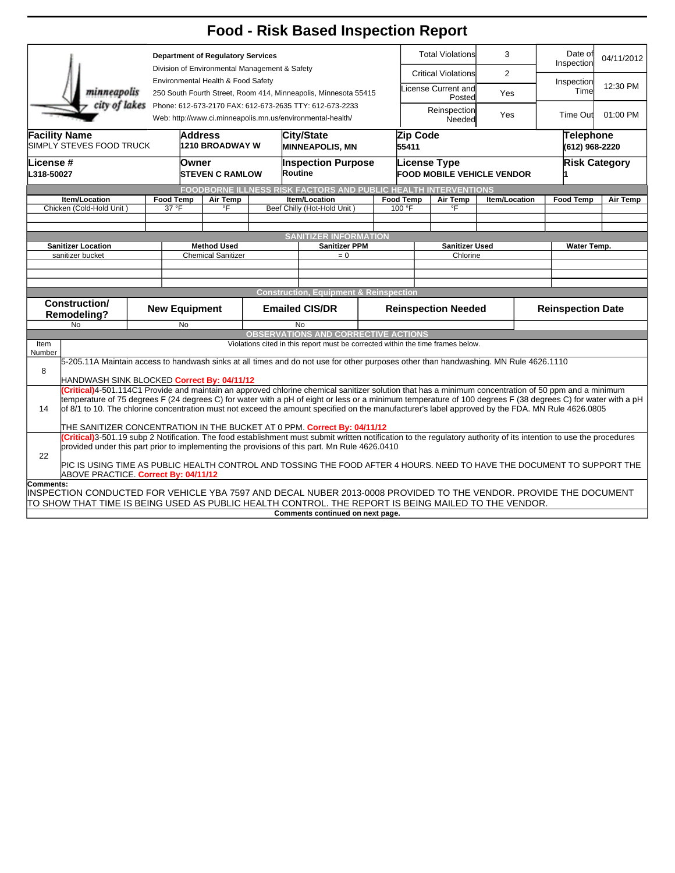|                                                                                                                                                                                                                         |                                                                                                                                                                                                                                                                                                                                                 |                                                                                                                                                                                                                                                                                                                                           |                                                                                                                         |  |                                      | <b>Food - Risk Based Inspection Report</b>                                                                                                                                                                                                                                                                       |                            |                               |                                                                                      |  |                                    |                       |            |
|-------------------------------------------------------------------------------------------------------------------------------------------------------------------------------------------------------------------------|-------------------------------------------------------------------------------------------------------------------------------------------------------------------------------------------------------------------------------------------------------------------------------------------------------------------------------------------------|-------------------------------------------------------------------------------------------------------------------------------------------------------------------------------------------------------------------------------------------------------------------------------------------------------------------------------------------|-------------------------------------------------------------------------------------------------------------------------|--|--------------------------------------|------------------------------------------------------------------------------------------------------------------------------------------------------------------------------------------------------------------------------------------------------------------------------------------------------------------|----------------------------|-------------------------------|--------------------------------------------------------------------------------------|--|------------------------------------|-----------------------|------------|
|                                                                                                                                                                                                                         |                                                                                                                                                                                                                                                                                                                                                 | <b>Department of Regulatory Services</b><br>Division of Environmental Management & Safety<br>Environmental Health & Food Safety<br>250 South Fourth Street, Room 414, Minneapolis, Minnesota 55415<br>city of lakes Phone: 612-673-2170 FAX: 612-673-2635 TTY: 612-673-2233<br>Web: http://www.ci.minneapolis.mn.us/environmental-health/ |                                                                                                                         |  |                                      |                                                                                                                                                                                                                                                                                                                  |                            | <b>Total Violations</b><br>3  |                                                                                      |  |                                    | Date of<br>Inspection | 04/11/2012 |
| minneapolis                                                                                                                                                                                                             |                                                                                                                                                                                                                                                                                                                                                 |                                                                                                                                                                                                                                                                                                                                           |                                                                                                                         |  |                                      |                                                                                                                                                                                                                                                                                                                  |                            |                               | <b>Critical Violations</b><br>$\overline{2}$<br>License Current and<br>Yes<br>Posted |  |                                    | Inspection<br>Time    | 12:30 PM   |
|                                                                                                                                                                                                                         |                                                                                                                                                                                                                                                                                                                                                 |                                                                                                                                                                                                                                                                                                                                           |                                                                                                                         |  |                                      |                                                                                                                                                                                                                                                                                                                  |                            | Reinspection<br>Yes<br>Needed |                                                                                      |  |                                    | Time Out              | 01:00 PM   |
| <b>Facility Name</b><br>SIMPLY STEVES FOOD TRUCK                                                                                                                                                                        |                                                                                                                                                                                                                                                                                                                                                 | <b>Address</b><br>1210 BROADWAY W                                                                                                                                                                                                                                                                                                         |                                                                                                                         |  | City/State<br><b>MINNEAPOLIS, MN</b> |                                                                                                                                                                                                                                                                                                                  |                            | Zip Code<br>55411             |                                                                                      |  | <b>Telephone</b><br>(612) 968-2220 |                       |            |
| <b>License #</b><br>L318-50027                                                                                                                                                                                          |                                                                                                                                                                                                                                                                                                                                                 |                                                                                                                                                                                                                                                                                                                                           | Owner<br><b>ISTEVEN C RAMLOW</b>                                                                                        |  |                                      | <b>Inspection Purpose</b><br>Routine                                                                                                                                                                                                                                                                             |                            |                               | License Type<br>FOOD MOBILE VEHICLE VENDOR                                           |  | <b>Risk Category</b>               |                       |            |
|                                                                                                                                                                                                                         |                                                                                                                                                                                                                                                                                                                                                 |                                                                                                                                                                                                                                                                                                                                           |                                                                                                                         |  |                                      | FOODBORNE ILLNESS RISK FACTORS AND PUBLIC HEALTH INTERVENTIONS                                                                                                                                                                                                                                                   |                            |                               |                                                                                      |  |                                    |                       |            |
| <b>Item/Location</b><br>Chicken (Cold-Hold Unit)                                                                                                                                                                        |                                                                                                                                                                                                                                                                                                                                                 | <b>Food Temp</b><br>37 °F                                                                                                                                                                                                                                                                                                                 | Air Temp<br>°F                                                                                                          |  | <b>Item/Location</b>                 |                                                                                                                                                                                                                                                                                                                  |                            | <b>Food Temp</b><br>100 °F    | Air Temp<br>Item/Location                                                            |  |                                    | <b>Food Temp</b>      | Air Temp   |
|                                                                                                                                                                                                                         |                                                                                                                                                                                                                                                                                                                                                 |                                                                                                                                                                                                                                                                                                                                           |                                                                                                                         |  |                                      | Beef Chilly (Hot-Hold Unit)                                                                                                                                                                                                                                                                                      |                            |                               | °F                                                                                   |  |                                    |                       |            |
|                                                                                                                                                                                                                         |                                                                                                                                                                                                                                                                                                                                                 |                                                                                                                                                                                                                                                                                                                                           |                                                                                                                         |  |                                      |                                                                                                                                                                                                                                                                                                                  |                            |                               |                                                                                      |  |                                    |                       |            |
|                                                                                                                                                                                                                         | <b>SANITIZER INFORMATION</b>                                                                                                                                                                                                                                                                                                                    |                                                                                                                                                                                                                                                                                                                                           |                                                                                                                         |  |                                      |                                                                                                                                                                                                                                                                                                                  |                            |                               |                                                                                      |  |                                    |                       |            |
| <b>Sanitizer Location</b>                                                                                                                                                                                               |                                                                                                                                                                                                                                                                                                                                                 | <b>Method Used</b>                                                                                                                                                                                                                                                                                                                        |                                                                                                                         |  | <b>Sanitizer PPM</b>                 |                                                                                                                                                                                                                                                                                                                  |                            | <b>Sanitizer Used</b>         |                                                                                      |  | <b>Water Temp.</b>                 |                       |            |
| sanitizer bucket                                                                                                                                                                                                        |                                                                                                                                                                                                                                                                                                                                                 | <b>Chemical Sanitizer</b>                                                                                                                                                                                                                                                                                                                 |                                                                                                                         |  | $= 0$                                |                                                                                                                                                                                                                                                                                                                  |                            | Chlorine                      |                                                                                      |  |                                    |                       |            |
|                                                                                                                                                                                                                         |                                                                                                                                                                                                                                                                                                                                                 |                                                                                                                                                                                                                                                                                                                                           |                                                                                                                         |  |                                      |                                                                                                                                                                                                                                                                                                                  |                            |                               |                                                                                      |  |                                    |                       |            |
|                                                                                                                                                                                                                         |                                                                                                                                                                                                                                                                                                                                                 |                                                                                                                                                                                                                                                                                                                                           |                                                                                                                         |  |                                      |                                                                                                                                                                                                                                                                                                                  |                            |                               |                                                                                      |  |                                    |                       |            |
|                                                                                                                                                                                                                         |                                                                                                                                                                                                                                                                                                                                                 |                                                                                                                                                                                                                                                                                                                                           |                                                                                                                         |  |                                      | <b>Construction, Equipment &amp; Reinspection</b>                                                                                                                                                                                                                                                                |                            |                               |                                                                                      |  |                                    |                       |            |
| <b>Construction/</b><br><b>Remodeling?</b>                                                                                                                                                                              |                                                                                                                                                                                                                                                                                                                                                 | <b>New Equipment</b>                                                                                                                                                                                                                                                                                                                      | <b>Emailed CIS/DR</b>                                                                                                   |  |                                      |                                                                                                                                                                                                                                                                                                                  | <b>Reinspection Needed</b> |                               |                                                                                      |  | <b>Reinspection Date</b>           |                       |            |
| N <sub>o</sub>                                                                                                                                                                                                          |                                                                                                                                                                                                                                                                                                                                                 | No                                                                                                                                                                                                                                                                                                                                        |                                                                                                                         |  |                                      | <b>No</b>                                                                                                                                                                                                                                                                                                        |                            |                               |                                                                                      |  |                                    |                       |            |
| Item                                                                                                                                                                                                                    |                                                                                                                                                                                                                                                                                                                                                 |                                                                                                                                                                                                                                                                                                                                           |                                                                                                                         |  |                                      | <b>OBSERVATIONS AND CORRECTIVE ACTIONS</b><br>Violations cited in this report must be corrected within the time frames below.                                                                                                                                                                                    |                            |                               |                                                                                      |  |                                    |                       |            |
| Number                                                                                                                                                                                                                  |                                                                                                                                                                                                                                                                                                                                                 |                                                                                                                                                                                                                                                                                                                                           |                                                                                                                         |  |                                      |                                                                                                                                                                                                                                                                                                                  |                            |                               |                                                                                      |  |                                    |                       |            |
|                                                                                                                                                                                                                         |                                                                                                                                                                                                                                                                                                                                                 |                                                                                                                                                                                                                                                                                                                                           |                                                                                                                         |  |                                      | 5-205.11A Maintain access to handwash sinks at all times and do not use for other purposes other than handwashing. MN Rule 4626.1110                                                                                                                                                                             |                            |                               |                                                                                      |  |                                    |                       |            |
| 8<br>HANDWASH SINK BLOCKED Correct By: 04/11/12                                                                                                                                                                         |                                                                                                                                                                                                                                                                                                                                                 |                                                                                                                                                                                                                                                                                                                                           |                                                                                                                         |  |                                      |                                                                                                                                                                                                                                                                                                                  |                            |                               |                                                                                      |  |                                    |                       |            |
|                                                                                                                                                                                                                         |                                                                                                                                                                                                                                                                                                                                                 |                                                                                                                                                                                                                                                                                                                                           |                                                                                                                         |  |                                      | Critical)4-501.114C1 Provide and maintain an approved chlorine chemical sanitizer solution that has a minimum concentration of 50 ppm and a minimum                                                                                                                                                              |                            |                               |                                                                                      |  |                                    |                       |            |
| 14                                                                                                                                                                                                                      |                                                                                                                                                                                                                                                                                                                                                 |                                                                                                                                                                                                                                                                                                                                           |                                                                                                                         |  |                                      | temperature of 75 degrees F (24 degrees C) for water with a pH of eight or less or a minimum temperature of 100 degrees F (38 degrees C) for water with a pH<br>of 8/1 to 10. The chlorine concentration must not exceed the amount specified on the manufacturer's label approved by the FDA. MN Rule 4626.0805 |                            |                               |                                                                                      |  |                                    |                       |            |
|                                                                                                                                                                                                                         |                                                                                                                                                                                                                                                                                                                                                 |                                                                                                                                                                                                                                                                                                                                           |                                                                                                                         |  |                                      |                                                                                                                                                                                                                                                                                                                  |                            |                               |                                                                                      |  |                                    |                       |            |
|                                                                                                                                                                                                                         | THE SANITIZER CONCENTRATION IN THE BUCKET AT 0 PPM. Correct By: 04/11/12<br>(Critical)3-501.19 subp 2 Notification. The food establishment must submit written notification to the regulatory authority of its intention to use the procedures<br>provided under this part prior to implementing the provisions of this part. Mn Rule 4626.0410 |                                                                                                                                                                                                                                                                                                                                           |                                                                                                                         |  |                                      |                                                                                                                                                                                                                                                                                                                  |                            |                               |                                                                                      |  |                                    |                       |            |
| 22                                                                                                                                                                                                                      |                                                                                                                                                                                                                                                                                                                                                 |                                                                                                                                                                                                                                                                                                                                           | PIC IS USING TIME AS PUBLIC HEALTH CONTROL AND TOSSING THE FOOD AFTER 4 HOURS. NEED TO HAVE THE DOCUMENT TO SUPPORT THE |  |                                      |                                                                                                                                                                                                                                                                                                                  |                            |                               |                                                                                      |  |                                    |                       |            |
| ABOVE PRACTICE. Correct By: 04/11/12                                                                                                                                                                                    |                                                                                                                                                                                                                                                                                                                                                 |                                                                                                                                                                                                                                                                                                                                           |                                                                                                                         |  |                                      |                                                                                                                                                                                                                                                                                                                  |                            |                               |                                                                                      |  |                                    |                       |            |
| Comments:                                                                                                                                                                                                               |                                                                                                                                                                                                                                                                                                                                                 |                                                                                                                                                                                                                                                                                                                                           |                                                                                                                         |  |                                      |                                                                                                                                                                                                                                                                                                                  |                            |                               |                                                                                      |  |                                    |                       |            |
| INSPECTION CONDUCTED FOR VEHICLE YBA 7597 AND DECAL NUBER 2013-0008 PROVIDED TO THE VENDOR. PROVIDE THE DOCUMENT<br>TO SHOW THAT TIME IS BEING USED AS PUBLIC HEALTH CONTROL. THE REPORT IS BEING MAILED TO THE VENDOR. |                                                                                                                                                                                                                                                                                                                                                 |                                                                                                                                                                                                                                                                                                                                           |                                                                                                                         |  |                                      |                                                                                                                                                                                                                                                                                                                  |                            |                               |                                                                                      |  |                                    |                       |            |
|                                                                                                                                                                                                                         |                                                                                                                                                                                                                                                                                                                                                 |                                                                                                                                                                                                                                                                                                                                           |                                                                                                                         |  |                                      | Comments continued on next page.                                                                                                                                                                                                                                                                                 |                            |                               |                                                                                      |  |                                    |                       |            |
|                                                                                                                                                                                                                         |                                                                                                                                                                                                                                                                                                                                                 |                                                                                                                                                                                                                                                                                                                                           |                                                                                                                         |  |                                      |                                                                                                                                                                                                                                                                                                                  |                            |                               |                                                                                      |  |                                    |                       |            |